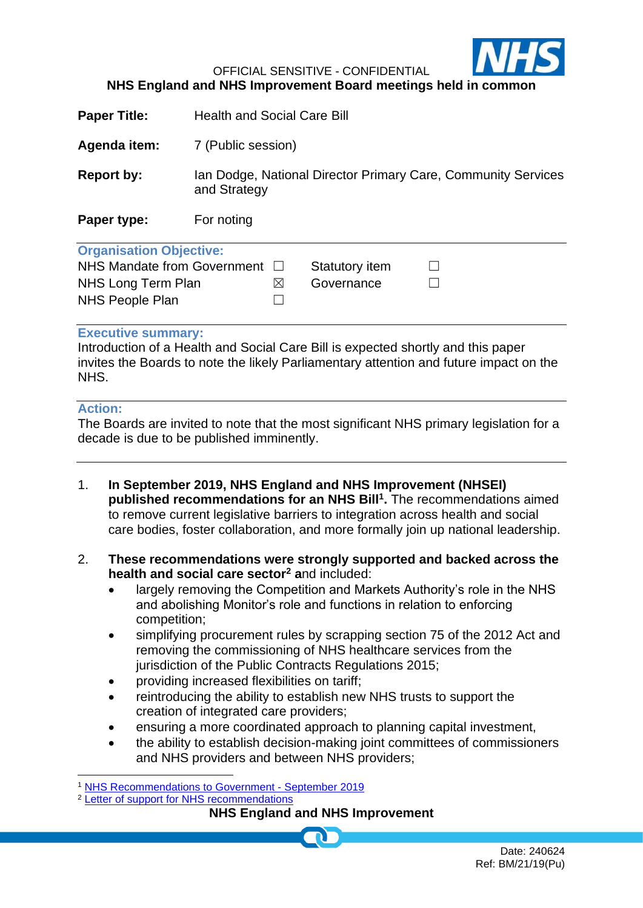

OFFICIAL SENSITIVE - CONFIDENTIAL

## **NHS England and NHS Improvement Board meetings held in common**

| <b>Paper Title:</b>            | <b>Health and Social Care Bill</b>                                            |                       |  |
|--------------------------------|-------------------------------------------------------------------------------|-----------------------|--|
| Agenda item:                   | 7 (Public session)                                                            |                       |  |
| <b>Report by:</b>              | Ian Dodge, National Director Primary Care, Community Services<br>and Strategy |                       |  |
| Paper type:                    | For noting                                                                    |                       |  |
| <b>Organisation Objective:</b> |                                                                               |                       |  |
| NHS Mandate from Government    |                                                                               | <b>Statutory item</b> |  |
| NHS Long Term Plan             | ⊠                                                                             | Governance            |  |
| <b>NHS People Plan</b>         |                                                                               |                       |  |
| <b>Executive summary:</b>      |                                                                               |                       |  |

Introduction of a Health and Social Care Bill is expected shortly and this paper invites the Boards to note the likely Parliamentary attention and future impact on the NHS.

## **Action:**

The Boards are invited to note that the most significant NHS primary legislation for a decade is due to be published imminently.

- 1. **In September 2019, NHS England and NHS Improvement (NHSEI) published recommendations for an NHS Bill<sup>1</sup> .** The recommendations aimed to remove current legislative barriers to integration across health and social care bodies, foster collaboration, and more formally join up national leadership.
- 2. **These recommendations were strongly supported and backed across the health and social care sector<sup>2</sup> a**nd included:
	- largely removing the Competition and Markets Authority's role in the NHS and abolishing Monitor's role and functions in relation to enforcing competition;
	- simplifying procurement rules by scrapping section 75 of the 2012 Act and removing the commissioning of NHS healthcare services from the jurisdiction of the Public Contracts Regulations 2015;
	- providing increased flexibilities on tariff;
	- reintroducing the ability to establish new NHS trusts to support the creation of integrated care providers;
	- ensuring a more coordinated approach to planning capital investment,
	- the ability to establish decision-making joint committees of commissioners and NHS providers and between NHS providers;

<sup>2</sup> [Letter of support for NHS recommendations](https://www.aomrc.org.uk/wp-content/uploads/2019/09/190926_Support_letter_NHS_legislation_-proposals.pdf)

## **NHS England and NHS Improvement**

<sup>1</sup> [NHS Recommendations to Government -](https://www.england.nhs.uk/wp-content/uploads/2019/09/BM1917-NHS-recommendations-Government-Parliament-for-an-NHS-Bill.pdf) September 2019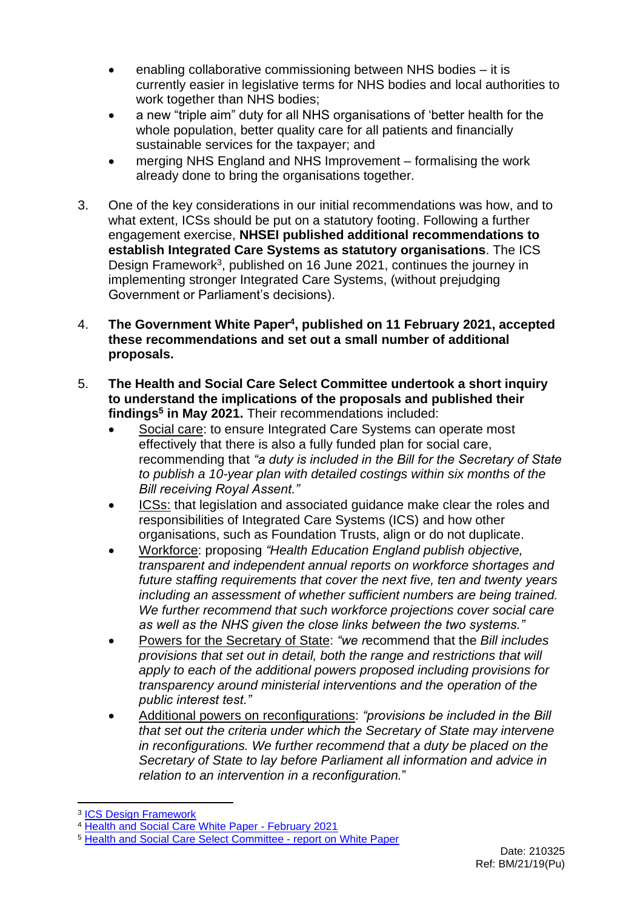- enabling collaborative commissioning between NHS bodies it is currently easier in legislative terms for NHS bodies and local authorities to work together than NHS bodies;
- a new "triple aim" duty for all NHS organisations of 'better health for the whole population, better quality care for all patients and financially sustainable services for the taxpayer; and
- merging NHS England and NHS Improvement formalising the work already done to bring the organisations together.
- 3. One of the key considerations in our initial recommendations was how, and to what extent, ICSs should be put on a statutory footing. Following a further engagement exercise, **NHSEI published additional recommendations to establish Integrated Care Systems as statutory organisations**. The ICS Design Framework<sup>3</sup>, published on 16 June 2021, continues the journey in implementing stronger Integrated Care Systems, (without prejudging Government or Parliament's decisions).
- 4. **The Government White Paper<sup>4</sup> , published on 11 February 2021, accepted these recommendations and set out a small number of additional proposals.**
- 5. **The Health and Social Care Select Committee undertook a short inquiry to understand the implications of the proposals and published their findings<sup>5</sup> in May 2021.** Their recommendations included:
	- Social care: to ensure Integrated Care Systems can operate most effectively that there is also a fully funded plan for social care, recommending that *"a duty is included in the Bill for the Secretary of State to publish a 10-year plan with detailed costings within six months of the Bill receiving Royal Assent."*
	- ICSs: that legislation and associated guidance make clear the roles and responsibilities of Integrated Care Systems (ICS) and how other organisations, such as Foundation Trusts, align or do not duplicate.
	- Workforce: proposing *"Health Education England publish objective, transparent and independent annual reports on workforce shortages and future staffing requirements that cover the next five, ten and twenty years including an assessment of whether sufficient numbers are being trained. We further recommend that such workforce projections cover social care as well as the NHS given the close links between the two systems."*
	- Powers for the Secretary of State: *"we r*ecommend that the *Bill includes provisions that set out in detail, both the range and restrictions that will apply to each of the additional powers proposed including provisions for transparency around ministerial interventions and the operation of the public interest test."*
	- Additional powers on reconfigurations: *"provisions be included in the Bill that set out the criteria under which the Secretary of State may intervene in reconfigurations. We further recommend that a duty be placed on the Secretary of State to lay before Parliament all information and advice in relation to an intervention in a reconfiguration.*"

<sup>&</sup>lt;sup>3</sup> [ICS Design Framework](https://www.england.nhs.uk/wp-content/uploads/2021/06/B0642-ics-design-framework-june-2021.pdf)

<sup>4</sup> [Health and Social Care White Paper -](https://assets.publishing.service.gov.uk/government/uploads/system/uploads/attachment_data/file/960549/integration-and-innovation-working-together-to-improve-health-and-social-care-for-all-print-version.pdf) February 2021

<sup>5</sup> [Health and Social Care Select Committee -](https://committees.parliament.uk/publications/5827/documents/67112/default/) report on White Paper